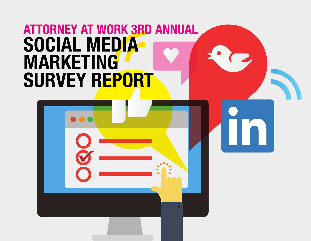# **ATTORNEY AT WORK 3RD ANNUAL SOCIAL MEDIA MARKETING SURVEY REPORT**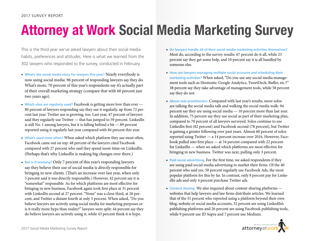# **Attorney at Work Social Media Marketing Survey**

This is the third year we've asked lawyers about their social media habits, preferences and attitudes. Here is what we learned from the 302 lawyers who responded to the survey, conducted in February.

- **What's the social media story for lawyers this year?** Nearly everybody is now using social media: 96 percent of responding lawyers say they do. What's more, 70 percent of this year's respondents say it's actually part of their overall marketing strategy (compare that with 60 percent just two years ago).
- **Which sites are regularly used?** Facebook is getting more love than ever 80 percent of lawyers responding say they use it regularly, up from 72 percent last year. Twitter use is growing, too. Last year, 47 percent of lawyers said they regularly use Twitter — that has jumped to 59 percent. LinkedIn is still No. 1 among lawyers, but it is falling behind a bit — 89 percent reported using it regularly last year compared with 84 percent this year.
- **What's used most often?** When asked which platform they use most often, Facebook came out on top: 48 percent of the lawyers cited Facebook compared with 27 percent who said they spend more time on LinkedIn. (Perhaps that's why LinkedIn is making big changes over there.)
- **But is it working?** Only 7 percent of this year's responding lawyers say they believe their use of social media is *directly* responsible for bringing in new clients. (That's an increase over last year, when only 3 percent said it was directly responsible.) However, 42 percent say it is "somewhat" responsible. As for which platforms are most effective for bringing in new business, Facebook again took first place at 31 percent with LinkedIn second at 27 percent. "None" was a close third, at 26 percent, and Twitter a distant fourth at only 5 percent. When asked, "Do you believe lawyers are actively using social media for marketing purposes or is it really more hype than reality?" lawyers were split: 44 percent say they do believe lawyers are actively using it, while 43 percent think it is hype.
- **Do lawyers handle all of their social media marketing activities themselves?** Most do, according to the survey results: 67 percent do it all, while 23 percent say they get some help, and 10 percent say it is all handled by someone else.
- **How are lawyers managing multiple social accounts and scheduling their marketing activities?** When asked, "Do you use any social media management tools such as Hootsuite, Google Analytics, TweetDeck, Buffer, etc.?" 38 percent say they take advantage of management tools, while 58 percent say they do not.
- **About solo practitioners.** Compared with last year's results, more solos are talking the social media talk and walking the social media walk: 94 percent say they are using social media — 10 percent more than last year. In addition, 75 percent say they use social as part of their marketing plan, compared to 70 percent of all lawyers surveyed. Solos continue to use LinkedIn first (82 percent) and Facebook second (78 percent), but Twitter is gaining a greater following over past years. Almost 60 percent of solos reported using Twitter — a 14 percent increase over 2016. However, Facebook pulled into first place — at 34 percent compared with 22 percent for LinkedIn — when we asked which platforms are most effective for bringing in new business. Twitter was next, pulling only 3 percent.
- **Paid social advertising.** For the first time, we asked respondents if they are using paid social media advertising to market their firms. Of the 40 percent who said yes, 50 percent regularly use Facebook Ads, the most popular platform for this by far. In contrast, only 8 percent pay for LinkedIn ads and only 4 percent purchase Twitter ads.
- **Content sharing.** We also inquired about content-sharing platforms websites that help lawyers and law firms distribute articles. We learned that of the 31 percent who reported using a platform beyond their own blog, website or social media accounts, 32 percent are using LinkedIn's publishing platforms and 26 percent are using Facebook publishing tools, while 9 percent use JD Supra and 7 percent use Medium.

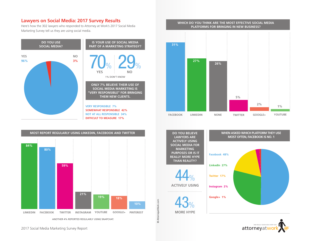### **Lawyers on Social Media: 2017 Survey Results**

Here's how the 302 lawyers who responded to Attorney at Work's 2017 Social Media Marketing Survey tell us they are using social media.





**DIFFICULT TO MEASURE 17%**







**DO YOU BELIEVE LAWYERS ARE ACTIVELY USING SOCIAL MEDIA FOR MARKETING PURPOSES OR IS IT REALLY MORE HYPE THAN REALITY?** 44% **ACTIVELY USING** 43%

**MORE HYPE**

© AttorneyatWork.com

© AttorneyatWork.com



**WHEN ASKED WHICH PLATFORM THEY USE MOST OFTEN, FACEBOOK IS NO. 1**

> [attorneyatwork](http://www.attorneyatwork.com/subscribe) ONE REALLY GOOD IDEA EV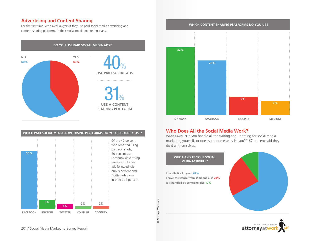## **Advertising and Content Sharing**

For the first time, we asked lawyers if they use paid social media advertising and content-sharing platforms in their social media marketing plans.







# **Who Does All the Social Media Work?**

© AttorneyatWork.com

© AttorneyatWork.com

When asked, "Do you handle all the writing and updating for social media marketing yourself, or does someone else assist you?" 67 percent said they do it all themselves.

**WHO HANDLES YOUR SOCIAL MEDIA ACTIVITIES? I handle it all myself 67% I have assistance from someone else 23% It is handled by someone else 10%**